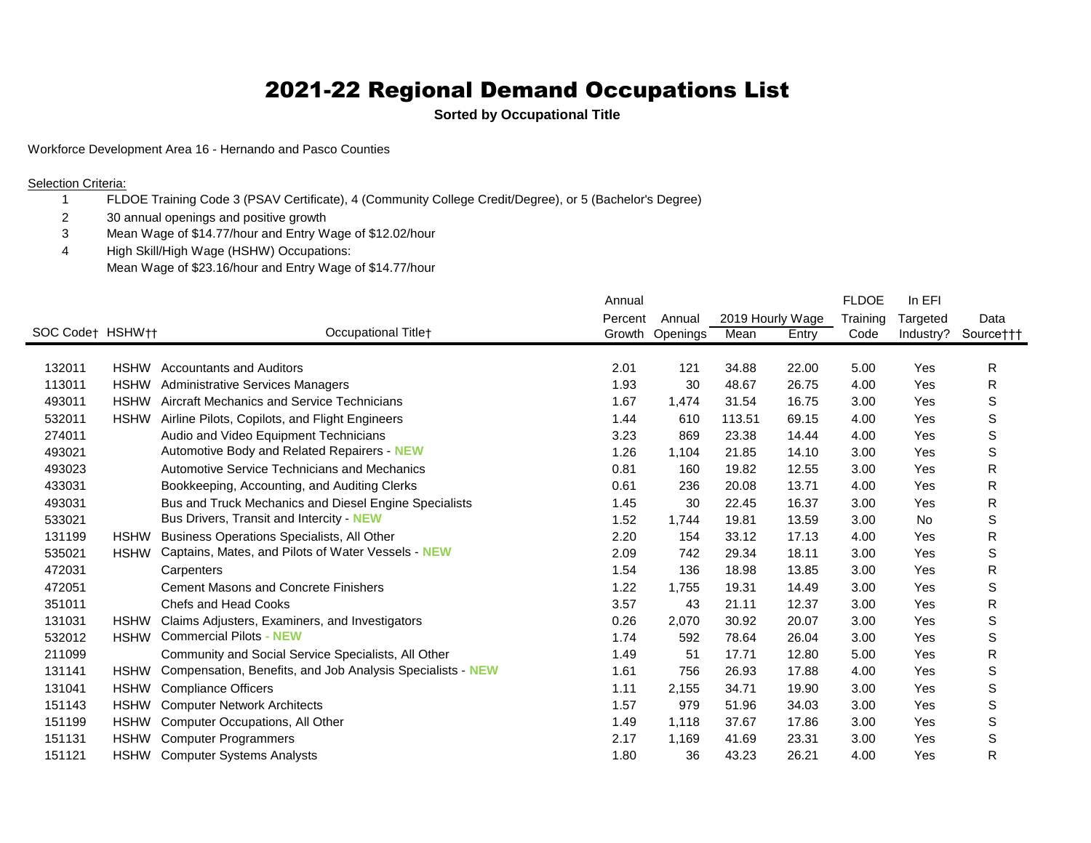## 2021-22 Regional Demand Occupations List

**Sorted by Occupational Title**

Workforce Development Area 16 - Hernando and Pasco Counties

**Selection Criteria:** 

- FLDOE Training Code 3 (PSAV Certificate), 4 (Community College Credit/Degree), or 5 (Bachelor's Degree)
- 2 30 annual openings and positive growth<br>3 Mean Wage of \$14.77/hour and Entry W
- Mean Wage of \$14.77/hour and Entry Wage of \$12.02/hour
- High Skill/High Wage (HSHW) Occupations: Mean Wage of \$23.16/hour and Entry Wage of \$14.77/hour

|                  |             |                                                            | Annual  |          |        |                  | <b>FLDOE</b> | In EFI    |             |
|------------------|-------------|------------------------------------------------------------|---------|----------|--------|------------------|--------------|-----------|-------------|
|                  |             |                                                            | Percent | Annual   |        | 2019 Hourly Wage | Training     | Targeted  | Data        |
| SOC Codet HSHWtt |             | Occupational Titlet                                        | Growth  | Openings | Mean   | Entry            | Code         | Industry? | Source†††   |
|                  |             |                                                            |         |          |        |                  |              |           |             |
| 132011           | <b>HSHW</b> | <b>Accountants and Auditors</b>                            | 2.01    | 121      | 34.88  | 22.00            | 5.00         | Yes       | R           |
| 113011           | <b>HSHW</b> | <b>Administrative Services Managers</b>                    | 1.93    | 30       | 48.67  | 26.75            | 4.00         | Yes       | R           |
| 493011           | <b>HSHW</b> | Aircraft Mechanics and Service Technicians                 | 1.67    | 1,474    | 31.54  | 16.75            | 3.00         | Yes       | S           |
| 532011           | <b>HSHW</b> | Airline Pilots, Copilots, and Flight Engineers             | 1.44    | 610      | 113.51 | 69.15            | 4.00         | Yes       | S           |
| 274011           |             | Audio and Video Equipment Technicians                      | 3.23    | 869      | 23.38  | 14.44            | 4.00         | Yes       | $\mathbb S$ |
| 493021           |             | Automotive Body and Related Repairers - NEW                | 1.26    | 1,104    | 21.85  | 14.10            | 3.00         | Yes       | S           |
| 493023           |             | Automotive Service Technicians and Mechanics               | 0.81    | 160      | 19.82  | 12.55            | 3.00         | Yes       | R           |
| 433031           |             | Bookkeeping, Accounting, and Auditing Clerks               | 0.61    | 236      | 20.08  | 13.71            | 4.00         | Yes       | R           |
| 493031           |             | Bus and Truck Mechanics and Diesel Engine Specialists      | 1.45    | 30       | 22.45  | 16.37            | 3.00         | Yes       | R           |
| 533021           |             | Bus Drivers, Transit and Intercity - NEW                   | 1.52    | 1,744    | 19.81  | 13.59            | 3.00         | No        | $\mathbb S$ |
| 131199           | <b>HSHW</b> | Business Operations Specialists, All Other                 | 2.20    | 154      | 33.12  | 17.13            | 4.00         | Yes       | R           |
| 535021           | <b>HSHW</b> | Captains, Mates, and Pilots of Water Vessels - NEW         | 2.09    | 742      | 29.34  | 18.11            | 3.00         | Yes       | S           |
| 472031           |             | Carpenters                                                 | 1.54    | 136      | 18.98  | 13.85            | 3.00         | Yes       | R           |
| 472051           |             | <b>Cement Masons and Concrete Finishers</b>                | 1.22    | 1,755    | 19.31  | 14.49            | 3.00         | Yes       | S           |
| 351011           |             | Chefs and Head Cooks                                       | 3.57    | 43       | 21.11  | 12.37            | 3.00         | Yes       | R           |
| 131031           | <b>HSHW</b> | Claims Adjusters, Examiners, and Investigators             | 0.26    | 2,070    | 30.92  | 20.07            | 3.00         | Yes       | $\mathbb S$ |
| 532012           | <b>HSHW</b> | <b>Commercial Pilots - NEW</b>                             | 1.74    | 592      | 78.64  | 26.04            | 3.00         | Yes       | $\mathbb S$ |
| 211099           |             | Community and Social Service Specialists, All Other        | 1.49    | 51       | 17.71  | 12.80            | 5.00         | Yes       | R           |
| 131141           | <b>HSHW</b> | Compensation, Benefits, and Job Analysis Specialists - NEW | 1.61    | 756      | 26.93  | 17.88            | 4.00         | Yes       | $\mathbb S$ |
| 131041           | <b>HSHW</b> | <b>Compliance Officers</b>                                 | 1.11    | 2,155    | 34.71  | 19.90            | 3.00         | Yes       | S           |
| 151143           | <b>HSHW</b> | <b>Computer Network Architects</b>                         | 1.57    | 979      | 51.96  | 34.03            | 3.00         | Yes       | $\mathbb S$ |
| 151199           | <b>HSHW</b> | Computer Occupations, All Other                            | 1.49    | 1,118    | 37.67  | 17.86            | 3.00         | Yes       | $\mathbb S$ |
| 151131           | <b>HSHW</b> | <b>Computer Programmers</b>                                | 2.17    | 1,169    | 41.69  | 23.31            | 3.00         | Yes       | $\mathbb S$ |
| 151121           | <b>HSHW</b> | <b>Computer Systems Analysts</b>                           | 1.80    | 36       | 43.23  | 26.21            | 4.00         | Yes       | R           |
|                  |             |                                                            |         |          |        |                  |              |           |             |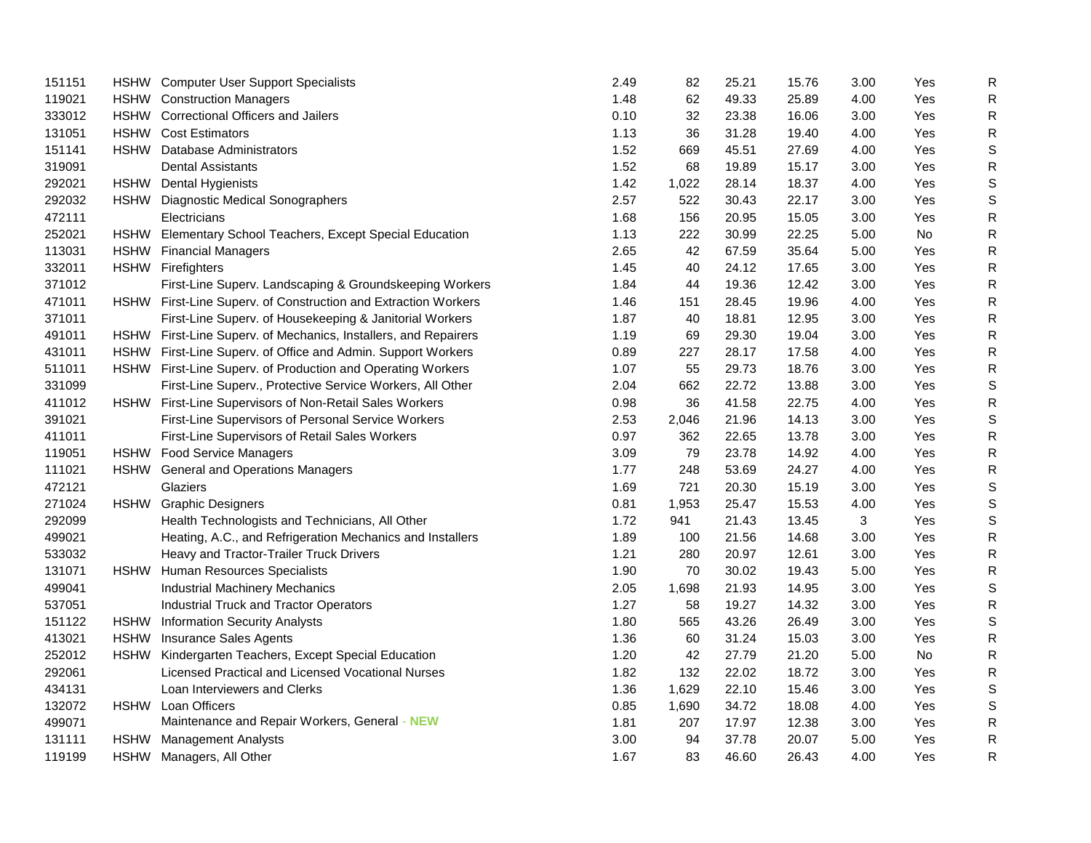| 151151 | HSHW Computer User Support Specialists                          | 2.49 | 82    | 25.21 | 15.76 | 3.00 | Yes | ${\sf R}$    |
|--------|-----------------------------------------------------------------|------|-------|-------|-------|------|-----|--------------|
| 119021 | <b>HSHW</b> Construction Managers                               | 1.48 | 62    | 49.33 | 25.89 | 4.00 | Yes | R            |
| 333012 | HSHW Correctional Officers and Jailers                          | 0.10 | 32    | 23.38 | 16.06 | 3.00 | Yes | ${\sf R}$    |
| 131051 | <b>HSHW</b> Cost Estimators                                     | 1.13 | 36    | 31.28 | 19.40 | 4.00 | Yes | ${\sf R}$    |
| 151141 | HSHW Database Administrators                                    | 1.52 | 669   | 45.51 | 27.69 | 4.00 | Yes | $\mathsf S$  |
| 319091 | <b>Dental Assistants</b>                                        | 1.52 | 68    | 19.89 | 15.17 | 3.00 | Yes | $\mathsf{R}$ |
| 292021 | HSHW Dental Hygienists                                          | 1.42 | 1,022 | 28.14 | 18.37 | 4.00 | Yes | $\mathbb S$  |
| 292032 | HSHW Diagnostic Medical Sonographers                            | 2.57 | 522   | 30.43 | 22.17 | 3.00 | Yes | $\mathbb S$  |
| 472111 | Electricians                                                    | 1.68 | 156   | 20.95 | 15.05 | 3.00 | Yes | R            |
| 252021 | HSHW Elementary School Teachers, Except Special Education       | 1.13 | 222   | 30.99 | 22.25 | 5.00 | No  | ${\sf R}$    |
| 113031 | HSHW Financial Managers                                         | 2.65 | 42    | 67.59 | 35.64 | 5.00 | Yes | ${\sf R}$    |
| 332011 | HSHW Firefighters                                               | 1.45 | 40    | 24.12 | 17.65 | 3.00 | Yes | ${\sf R}$    |
| 371012 | First-Line Superv. Landscaping & Groundskeeping Workers         | 1.84 | 44    | 19.36 | 12.42 | 3.00 | Yes | ${\sf R}$    |
| 471011 | HSHW First-Line Superv. of Construction and Extraction Workers  | 1.46 | 151   | 28.45 | 19.96 | 4.00 | Yes | R            |
| 371011 | First-Line Superv. of Housekeeping & Janitorial Workers         | 1.87 | 40    | 18.81 | 12.95 | 3.00 | Yes | ${\sf R}$    |
| 491011 | HSHW First-Line Superv. of Mechanics, Installers, and Repairers | 1.19 | 69    | 29.30 | 19.04 | 3.00 | Yes | ${\sf R}$    |
| 431011 | HSHW First-Line Superv. of Office and Admin. Support Workers    | 0.89 | 227   | 28.17 | 17.58 | 4.00 | Yes | $\mathsf R$  |
| 511011 | HSHW First-Line Superv. of Production and Operating Workers     | 1.07 | 55    | 29.73 | 18.76 | 3.00 | Yes | $\mathsf{R}$ |
| 331099 | First-Line Superv., Protective Service Workers, All Other       | 2.04 | 662   | 22.72 | 13.88 | 3.00 | Yes | $\mathbb S$  |
| 411012 | HSHW First-Line Supervisors of Non-Retail Sales Workers         | 0.98 | 36    | 41.58 | 22.75 | 4.00 | Yes | ${\sf R}$    |
| 391021 | First-Line Supervisors of Personal Service Workers              | 2.53 | 2,046 | 21.96 | 14.13 | 3.00 | Yes | $\mathbb S$  |
| 411011 | First-Line Supervisors of Retail Sales Workers                  | 0.97 | 362   | 22.65 | 13.78 | 3.00 | Yes | ${\sf R}$    |
| 119051 | HSHW Food Service Managers                                      | 3.09 | 79    | 23.78 | 14.92 | 4.00 | Yes | $\mathsf{R}$ |
| 111021 | HSHW General and Operations Managers                            | 1.77 | 248   | 53.69 | 24.27 | 4.00 | Yes | ${\sf R}$    |
| 472121 | Glaziers                                                        | 1.69 | 721   | 20.30 | 15.19 | 3.00 | Yes | $\mathbb S$  |
| 271024 | HSHW Graphic Designers                                          | 0.81 | 1,953 | 25.47 | 15.53 | 4.00 | Yes | $\mathbb S$  |
| 292099 | Health Technologists and Technicians, All Other                 | 1.72 | 941   | 21.43 | 13.45 | 3    | Yes | $\mathbb S$  |
| 499021 | Heating, A.C., and Refrigeration Mechanics and Installers       | 1.89 | 100   | 21.56 | 14.68 | 3.00 | Yes | R            |
| 533032 | Heavy and Tractor-Trailer Truck Drivers                         | 1.21 | 280   | 20.97 | 12.61 | 3.00 | Yes | $\mathsf{R}$ |
| 131071 | HSHW Human Resources Specialists                                | 1.90 | 70    | 30.02 | 19.43 | 5.00 | Yes | R            |
| 499041 | <b>Industrial Machinery Mechanics</b>                           | 2.05 | 1,698 | 21.93 | 14.95 | 3.00 | Yes | $\mathsf S$  |
| 537051 | Industrial Truck and Tractor Operators                          | 1.27 | 58    | 19.27 | 14.32 | 3.00 | Yes | R            |
| 151122 | HSHW Information Security Analysts                              | 1.80 | 565   | 43.26 | 26.49 | 3.00 | Yes | $\mathsf S$  |
| 413021 | HSHW Insurance Sales Agents                                     | 1.36 | 60    | 31.24 | 15.03 | 3.00 | Yes | ${\sf R}$    |
| 252012 | HSHW Kindergarten Teachers, Except Special Education            | 1.20 | 42    | 27.79 | 21.20 | 5.00 | No  | $\mathsf{R}$ |
| 292061 | Licensed Practical and Licensed Vocational Nurses               | 1.82 | 132   | 22.02 | 18.72 | 3.00 | Yes | ${\sf R}$    |
| 434131 | Loan Interviewers and Clerks                                    | 1.36 | 1,629 | 22.10 | 15.46 | 3.00 | Yes | $\mathbb S$  |
| 132072 | HSHW Loan Officers                                              | 0.85 | 1,690 | 34.72 | 18.08 | 4.00 | Yes | S            |
| 499071 | Maintenance and Repair Workers, General - NEW                   | 1.81 | 207   | 17.97 | 12.38 | 3.00 | Yes | R            |
| 131111 | HSHW Management Analysts                                        | 3.00 | 94    | 37.78 | 20.07 | 5.00 | Yes | $\mathsf R$  |
| 119199 | HSHW Managers, All Other                                        | 1.67 | 83    | 46.60 | 26.43 | 4.00 | Yes | $\mathsf{R}$ |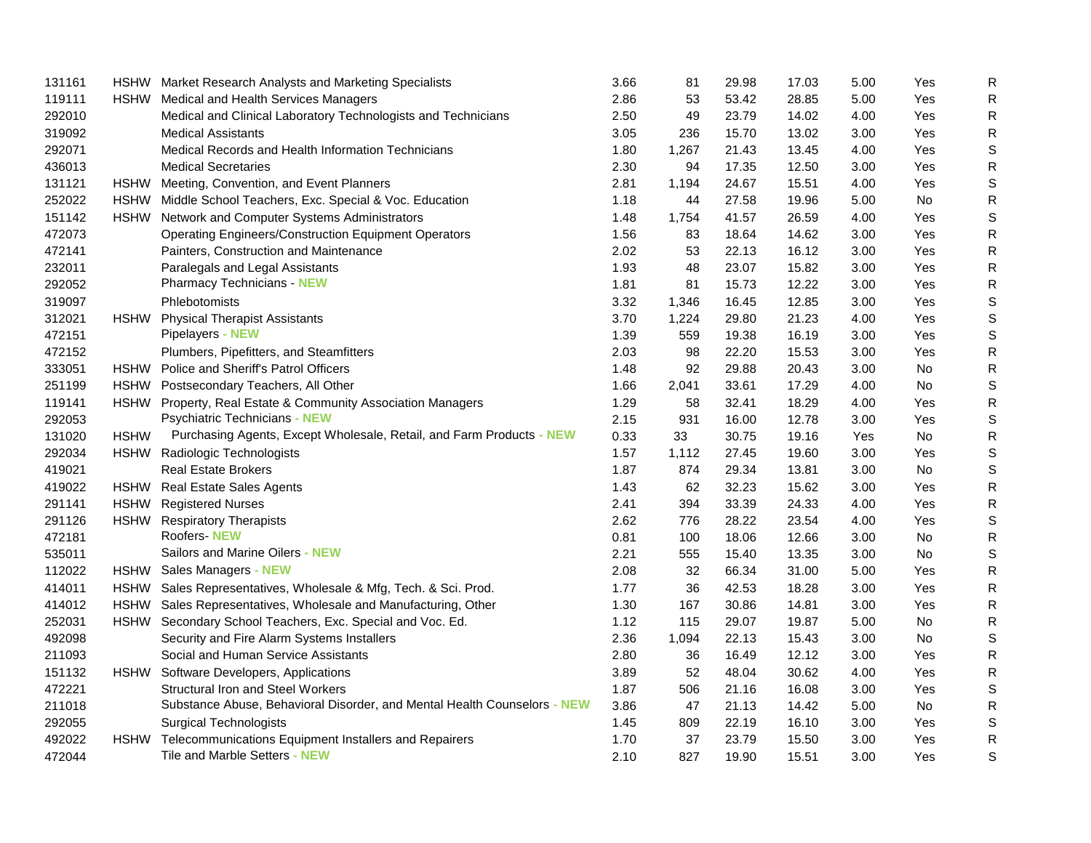| 131161 |             | HSHW Market Research Analysts and Marketing Specialists                  | 3.66 | 81    | 29.98 | 17.03 | 5.00 | Yes | $\mathsf{R}$ |
|--------|-------------|--------------------------------------------------------------------------|------|-------|-------|-------|------|-----|--------------|
| 119111 |             | HSHW Medical and Health Services Managers                                | 2.86 | 53    | 53.42 | 28.85 | 5.00 | Yes | $\mathsf{R}$ |
| 292010 |             | Medical and Clinical Laboratory Technologists and Technicians            | 2.50 | 49    | 23.79 | 14.02 | 4.00 | Yes | ${\sf R}$    |
| 319092 |             | <b>Medical Assistants</b>                                                | 3.05 | 236   | 15.70 | 13.02 | 3.00 | Yes | $\mathsf{R}$ |
| 292071 |             | Medical Records and Health Information Technicians                       | 1.80 | 1,267 | 21.43 | 13.45 | 4.00 | Yes | S            |
| 436013 |             | <b>Medical Secretaries</b>                                               | 2.30 | 94    | 17.35 | 12.50 | 3.00 | Yes | $\mathsf{R}$ |
| 131121 |             | HSHW Meeting, Convention, and Event Planners                             | 2.81 | 1,194 | 24.67 | 15.51 | 4.00 | Yes | S            |
| 252022 |             | HSHW Middle School Teachers, Exc. Special & Voc. Education               | 1.18 | 44    | 27.58 | 19.96 | 5.00 | No  | $\mathsf{R}$ |
| 151142 |             | HSHW Network and Computer Systems Administrators                         | 1.48 | 1,754 | 41.57 | 26.59 | 4.00 | Yes | S            |
| 472073 |             | <b>Operating Engineers/Construction Equipment Operators</b>              | 1.56 | 83    | 18.64 | 14.62 | 3.00 | Yes | ${\sf R}$    |
| 472141 |             | Painters, Construction and Maintenance                                   | 2.02 | 53    | 22.13 | 16.12 | 3.00 | Yes | $\mathsf{R}$ |
| 232011 |             | Paralegals and Legal Assistants                                          | 1.93 | 48    | 23.07 | 15.82 | 3.00 | Yes | $\mathsf{R}$ |
| 292052 |             | <b>Pharmacy Technicians - NEW</b>                                        | 1.81 | 81    | 15.73 | 12.22 | 3.00 | Yes | ${\sf R}$    |
| 319097 |             | Phlebotomists                                                            | 3.32 | 1,346 | 16.45 | 12.85 | 3.00 | Yes | $\mathsf S$  |
| 312021 |             | HSHW Physical Therapist Assistants                                       | 3.70 | 1,224 | 29.80 | 21.23 | 4.00 | Yes | S            |
| 472151 |             | Pipelayers - NEW                                                         | 1.39 | 559   | 19.38 | 16.19 | 3.00 | Yes | S            |
| 472152 |             | Plumbers, Pipefitters, and Steamfitters                                  | 2.03 | 98    | 22.20 | 15.53 | 3.00 | Yes | $\mathsf{R}$ |
| 333051 |             | HSHW Police and Sheriff's Patrol Officers                                | 1.48 | 92    | 29.88 | 20.43 | 3.00 | No  | $\mathsf{R}$ |
| 251199 |             | HSHW Postsecondary Teachers, All Other                                   | 1.66 | 2,041 | 33.61 | 17.29 | 4.00 | No  | S            |
| 119141 |             | HSHW Property, Real Estate & Community Association Managers              | 1.29 | 58    | 32.41 | 18.29 | 4.00 | Yes | $\mathsf{R}$ |
| 292053 |             | <b>Psychiatric Technicians - NEW</b>                                     | 2.15 | 931   | 16.00 | 12.78 | 3.00 | Yes | S            |
| 131020 | <b>HSHW</b> | Purchasing Agents, Except Wholesale, Retail, and Farm Products - NEW     | 0.33 | 33    | 30.75 | 19.16 | Yes  | No  | ${\sf R}$    |
| 292034 |             | HSHW Radiologic Technologists                                            | 1.57 | 1,112 | 27.45 | 19.60 | 3.00 | Yes | S            |
| 419021 |             | <b>Real Estate Brokers</b>                                               | 1.87 | 874   | 29.34 | 13.81 | 3.00 | No  | S            |
| 419022 |             | HSHW Real Estate Sales Agents                                            | 1.43 | 62    | 32.23 | 15.62 | 3.00 | Yes | $\mathsf{R}$ |
| 291141 |             | <b>HSHW</b> Registered Nurses                                            | 2.41 | 394   | 33.39 | 24.33 | 4.00 | Yes | $\mathsf{R}$ |
| 291126 |             | HSHW Respiratory Therapists                                              | 2.62 | 776   | 28.22 | 23.54 | 4.00 | Yes | S            |
| 472181 |             | <b>Roofers-NEW</b>                                                       | 0.81 | 100   | 18.06 | 12.66 | 3.00 | No  | $\mathsf{R}$ |
| 535011 |             | Sailors and Marine Oilers - NEW                                          | 2.21 | 555   | 15.40 | 13.35 | 3.00 | No  | S            |
| 112022 |             | HSHW Sales Managers - NEW                                                | 2.08 | 32    | 66.34 | 31.00 | 5.00 | Yes | $\mathsf{R}$ |
| 414011 |             | HSHW Sales Representatives, Wholesale & Mfg, Tech. & Sci. Prod.          | 1.77 | 36    | 42.53 | 18.28 | 3.00 | Yes | $\mathsf{R}$ |
| 414012 |             | HSHW Sales Representatives, Wholesale and Manufacturing, Other           | 1.30 | 167   | 30.86 | 14.81 | 3.00 | Yes | $\mathsf{R}$ |
| 252031 |             | HSHW Secondary School Teachers, Exc. Special and Voc. Ed.                | 1.12 | 115   | 29.07 | 19.87 | 5.00 | No  | $\mathsf{R}$ |
| 492098 |             | Security and Fire Alarm Systems Installers                               | 2.36 | 1,094 | 22.13 | 15.43 | 3.00 | No  | S            |
| 211093 |             | Social and Human Service Assistants                                      | 2.80 | 36    | 16.49 | 12.12 | 3.00 | Yes | $\mathsf{R}$ |
| 151132 |             | HSHW Software Developers, Applications                                   | 3.89 | 52    | 48.04 | 30.62 | 4.00 | Yes | $\mathsf{R}$ |
| 472221 |             | <b>Structural Iron and Steel Workers</b>                                 | 1.87 | 506   | 21.16 | 16.08 | 3.00 | Yes | S            |
| 211018 |             | Substance Abuse, Behavioral Disorder, and Mental Health Counselors - NEW | 3.86 | 47    | 21.13 | 14.42 | 5.00 | No  | $\mathsf{R}$ |
| 292055 |             | <b>Surgical Technologists</b>                                            | 1.45 | 809   | 22.19 | 16.10 | 3.00 | Yes | S            |
| 492022 |             | HSHW Telecommunications Equipment Installers and Repairers               | 1.70 | 37    | 23.79 | 15.50 | 3.00 | Yes | $\mathsf{R}$ |
| 472044 |             | Tile and Marble Setters - NEW                                            | 2.10 | 827   | 19.90 | 15.51 | 3.00 | Yes | S            |